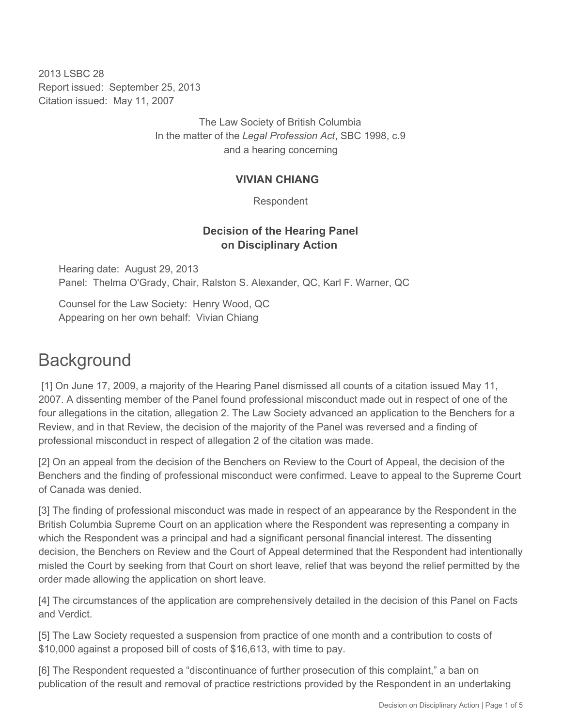2013 LSBC 28 Report issued: September 25, 2013 Citation issued: May 11, 2007

> The Law Society of British Columbia In the matter of the *Legal Profession Act*, SBC 1998, c.9 and a hearing concerning

#### **VIVIAN CHIANG**

Respondent

# **Decision of the Hearing Panel on Disciplinary Action**

Hearing date: August 29, 2013 Panel: Thelma O'Grady, Chair, Ralston S. Alexander, QC, Karl F. Warner, QC

Counsel for the Law Society: Henry Wood, QC Appearing on her own behalf: Vivian Chiang

# **Background**

 [1] On June 17, 2009, a majority of the Hearing Panel dismissed all counts of a citation issued May 11, 2007. A dissenting member of the Panel found professional misconduct made out in respect of one of the four allegations in the citation, allegation 2. The Law Society advanced an application to the Benchers for a Review, and in that Review, the decision of the majority of the Panel was reversed and a finding of professional misconduct in respect of allegation 2 of the citation was made.

[2] On an appeal from the decision of the Benchers on Review to the Court of Appeal, the decision of the Benchers and the finding of professional misconduct were confirmed. Leave to appeal to the Supreme Court of Canada was denied.

[3] The finding of professional misconduct was made in respect of an appearance by the Respondent in the British Columbia Supreme Court on an application where the Respondent was representing a company in which the Respondent was a principal and had a significant personal financial interest. The dissenting decision, the Benchers on Review and the Court of Appeal determined that the Respondent had intentionally misled the Court by seeking from that Court on short leave, relief that was beyond the relief permitted by the order made allowing the application on short leave.

[4] The circumstances of the application are comprehensively detailed in the decision of this Panel on Facts and Verdict.

[5] The Law Society requested a suspension from practice of one month and a contribution to costs of \$10,000 against a proposed bill of costs of \$16,613, with time to pay.

[6] The Respondent requested a "discontinuance of further prosecution of this complaint," a ban on publication of the result and removal of practice restrictions provided by the Respondent in an undertaking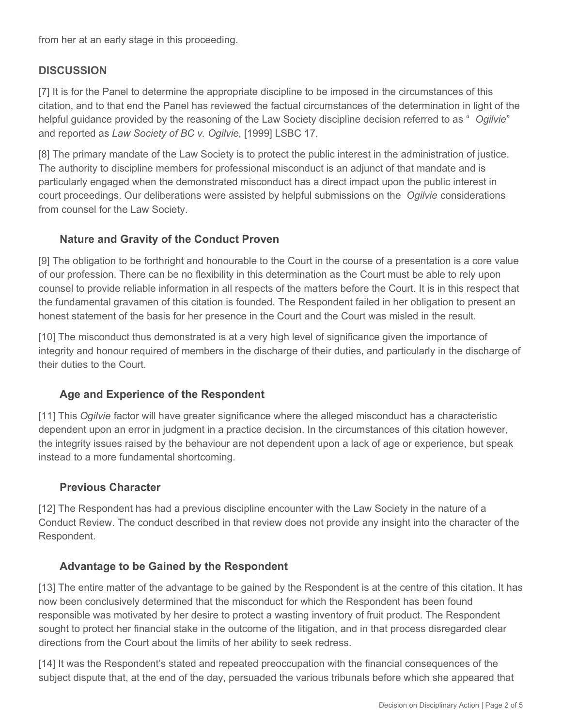from her at an early stage in this proceeding.

# **DISCUSSION**

[7] It is for the Panel to determine the appropriate discipline to be imposed in the circumstances of this citation, and to that end the Panel has reviewed the factual circumstances of the determination in light of the helpful guidance provided by the reasoning of the Law Society discipline decision referred to as " *Ogilvie*" and reported as *Law Society of BC v. Ogilvie*, [1999] LSBC 17.

[8] The primary mandate of the Law Society is to protect the public interest in the administration of justice. The authority to discipline members for professional misconduct is an adjunct of that mandate and is particularly engaged when the demonstrated misconduct has a direct impact upon the public interest in court proceedings. Our deliberations were assisted by helpful submissions on the *Ogilvie* considerations from counsel for the Law Society.

## **Nature and Gravity of the Conduct Proven**

[9] The obligation to be forthright and honourable to the Court in the course of a presentation is a core value of our profession. There can be no flexibility in this determination as the Court must be able to rely upon counsel to provide reliable information in all respects of the matters before the Court. It is in this respect that the fundamental gravamen of this citation is founded. The Respondent failed in her obligation to present an honest statement of the basis for her presence in the Court and the Court was misled in the result.

[10] The misconduct thus demonstrated is at a very high level of significance given the importance of integrity and honour required of members in the discharge of their duties, and particularly in the discharge of their duties to the Court.

## **Age and Experience of the Respondent**

[11] This *Ogilvie* factor will have greater significance where the alleged misconduct has a characteristic dependent upon an error in judgment in a practice decision. In the circumstances of this citation however, the integrity issues raised by the behaviour are not dependent upon a lack of age or experience, but speak instead to a more fundamental shortcoming.

#### **Previous Character**

[12] The Respondent has had a previous discipline encounter with the Law Society in the nature of a Conduct Review. The conduct described in that review does not provide any insight into the character of the Respondent.

## **Advantage to be Gained by the Respondent**

[13] The entire matter of the advantage to be gained by the Respondent is at the centre of this citation. It has now been conclusively determined that the misconduct for which the Respondent has been found responsible was motivated by her desire to protect a wasting inventory of fruit product. The Respondent sought to protect her financial stake in the outcome of the litigation, and in that process disregarded clear directions from the Court about the limits of her ability to seek redress.

[14] It was the Respondent's stated and repeated preoccupation with the financial consequences of the subject dispute that, at the end of the day, persuaded the various tribunals before which she appeared that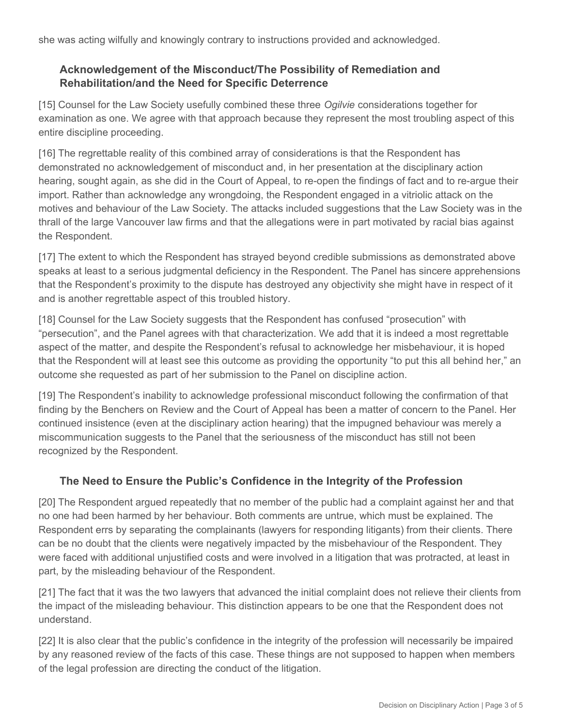she was acting wilfully and knowingly contrary to instructions provided and acknowledged.

# **Acknowledgement of the Misconduct/The Possibility of Remediation and Rehabilitation/and the Need for Specific Deterrence**

[15] Counsel for the Law Society usefully combined these three *Ogilvie* considerations together for examination as one. We agree with that approach because they represent the most troubling aspect of this entire discipline proceeding.

[16] The regrettable reality of this combined array of considerations is that the Respondent has demonstrated no acknowledgement of misconduct and, in her presentation at the disciplinary action hearing, sought again, as she did in the Court of Appeal, to re-open the findings of fact and to re-argue their import. Rather than acknowledge any wrongdoing, the Respondent engaged in a vitriolic attack on the motives and behaviour of the Law Society. The attacks included suggestions that the Law Society was in the thrall of the large Vancouver law firms and that the allegations were in part motivated by racial bias against the Respondent.

[17] The extent to which the Respondent has strayed beyond credible submissions as demonstrated above speaks at least to a serious judgmental deficiency in the Respondent. The Panel has sincere apprehensions that the Respondent's proximity to the dispute has destroyed any objectivity she might have in respect of it and is another regrettable aspect of this troubled history.

[18] Counsel for the Law Society suggests that the Respondent has confused "prosecution" with "persecution", and the Panel agrees with that characterization. We add that it is indeed a most regrettable aspect of the matter, and despite the Respondent's refusal to acknowledge her misbehaviour, it is hoped that the Respondent will at least see this outcome as providing the opportunity "to put this all behind her," an outcome she requested as part of her submission to the Panel on discipline action.

[19] The Respondent's inability to acknowledge professional misconduct following the confirmation of that finding by the Benchers on Review and the Court of Appeal has been a matter of concern to the Panel. Her continued insistence (even at the disciplinary action hearing) that the impugned behaviour was merely a miscommunication suggests to the Panel that the seriousness of the misconduct has still not been recognized by the Respondent.

# **The Need to Ensure the Public's Confidence in the Integrity of the Profession**

[20] The Respondent argued repeatedly that no member of the public had a complaint against her and that no one had been harmed by her behaviour. Both comments are untrue, which must be explained. The Respondent errs by separating the complainants (lawyers for responding litigants) from their clients. There can be no doubt that the clients were negatively impacted by the misbehaviour of the Respondent. They were faced with additional unjustified costs and were involved in a litigation that was protracted, at least in part, by the misleading behaviour of the Respondent.

[21] The fact that it was the two lawyers that advanced the initial complaint does not relieve their clients from the impact of the misleading behaviour. This distinction appears to be one that the Respondent does not understand.

[22] It is also clear that the public's confidence in the integrity of the profession will necessarily be impaired by any reasoned review of the facts of this case. These things are not supposed to happen when members of the legal profession are directing the conduct of the litigation.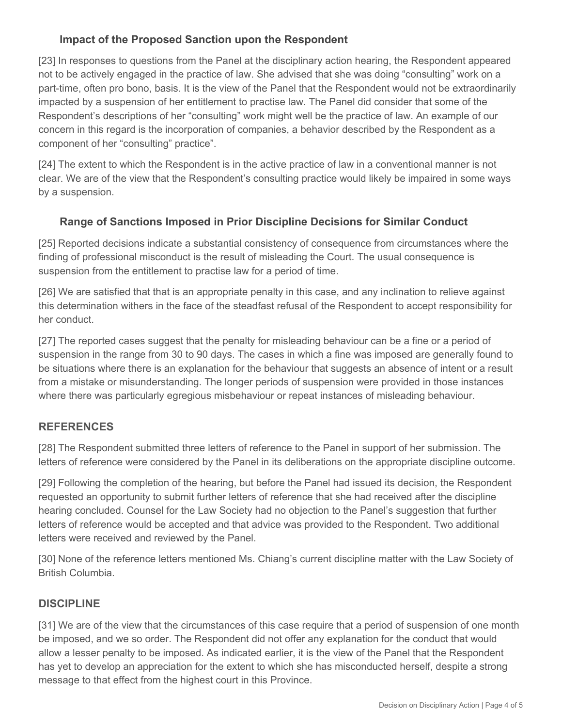# **Impact of the Proposed Sanction upon the Respondent**

[23] In responses to questions from the Panel at the disciplinary action hearing, the Respondent appeared not to be actively engaged in the practice of law. She advised that she was doing "consulting" work on a part-time, often pro bono, basis. It is the view of the Panel that the Respondent would not be extraordinarily impacted by a suspension of her entitlement to practise law. The Panel did consider that some of the Respondent's descriptions of her "consulting" work might well be the practice of law. An example of our concern in this regard is the incorporation of companies, a behavior described by the Respondent as a component of her "consulting" practice".

[24] The extent to which the Respondent is in the active practice of law in a conventional manner is not clear. We are of the view that the Respondent's consulting practice would likely be impaired in some ways by a suspension.

# **Range of Sanctions Imposed in Prior Discipline Decisions for Similar Conduct**

[25] Reported decisions indicate a substantial consistency of consequence from circumstances where the finding of professional misconduct is the result of misleading the Court. The usual consequence is suspension from the entitlement to practise law for a period of time.

[26] We are satisfied that that is an appropriate penalty in this case, and any inclination to relieve against this determination withers in the face of the steadfast refusal of the Respondent to accept responsibility for her conduct.

[27] The reported cases suggest that the penalty for misleading behaviour can be a fine or a period of suspension in the range from 30 to 90 days. The cases in which a fine was imposed are generally found to be situations where there is an explanation for the behaviour that suggests an absence of intent or a result from a mistake or misunderstanding. The longer periods of suspension were provided in those instances where there was particularly egregious misbehaviour or repeat instances of misleading behaviour.

## **REFERENCES**

[28] The Respondent submitted three letters of reference to the Panel in support of her submission. The letters of reference were considered by the Panel in its deliberations on the appropriate discipline outcome.

[29] Following the completion of the hearing, but before the Panel had issued its decision, the Respondent requested an opportunity to submit further letters of reference that she had received after the discipline hearing concluded. Counsel for the Law Society had no objection to the Panel's suggestion that further letters of reference would be accepted and that advice was provided to the Respondent. Two additional letters were received and reviewed by the Panel.

[30] None of the reference letters mentioned Ms. Chiang's current discipline matter with the Law Society of British Columbia.

## **DISCIPLINE**

[31] We are of the view that the circumstances of this case require that a period of suspension of one month be imposed, and we so order. The Respondent did not offer any explanation for the conduct that would allow a lesser penalty to be imposed. As indicated earlier, it is the view of the Panel that the Respondent has yet to develop an appreciation for the extent to which she has misconducted herself, despite a strong message to that effect from the highest court in this Province.